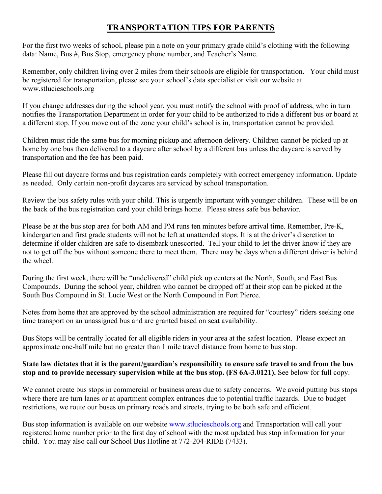## **TRANSPORTATION TIPS FOR PARENTS**

For the first two weeks of school, please pin a note on your primary grade child's clothing with the following data: Name, Bus #, Bus Stop, emergency phone number, and Teacher's Name.

Remember, only children living over 2 miles from their schools are eligible for transportation. Your child must be registered for transportation, please see your school's data specialist or visit our website at www.stlucieschools.org

If you change addresses during the school year, you must notify the school with proof of address, who in turn notifies the Transportation Department in order for your child to be authorized to ride a different bus or board at a different stop. If you move out of the zone your child's school is in, transportation cannot be provided.

Children must ride the same bus for morning pickup and afternoon delivery. Children cannot be picked up at home by one bus then delivered to a daycare after school by a different bus unless the daycare is served by transportation and the fee has been paid.

Please fill out daycare forms and bus registration cards completely with correct emergency information. Update as needed. Only certain non-profit daycares are serviced by school transportation.

Review the bus safety rules with your child. This is urgently important with younger children. These will be on the back of the bus registration card your child brings home. Please stress safe bus behavior.

Please be at the bus stop area for both AM and PM runs ten minutes before arrival time. Remember, Pre-K, kindergarten and first grade students will not be left at unattended stops. It is at the driver's discretion to determine if older children are safe to disembark unescorted. Tell your child to let the driver know if they are not to get off the bus without someone there to meet them. There may be days when a different driver is behind the wheel.

During the first week, there will be "undelivered" child pick up centers at the North, South, and East Bus Compounds. During the school year, children who cannot be dropped off at their stop can be picked at the South Bus Compound in St. Lucie West or the North Compound in Fort Pierce.

Notes from home that are approved by the school administration are required for "courtesy" riders seeking one time transport on an unassigned bus and are granted based on seat availability.

Bus Stops will be centrally located for all eligible riders in your area at the safest location. Please expect an approximate one-half mile but no greater than 1 mile travel distance from home to bus stop.

## **State law dictates that it is the parent/guardian's responsibility to ensure safe travel to and from the bus stop and to provide necessary supervision while at the bus stop. (FS 6A-3.0121).** See below for full copy.

We cannot create bus stops in commercial or business areas due to safety concerns. We avoid putting bus stops where there are turn lanes or at apartment complex entrances due to potential traffic hazards. Due to budget restrictions, we route our buses on primary roads and streets, trying to be both safe and efficient.

Bus stop information is available on our website www.stlucieschools.org and Transportation will call your registered home number prior to the first day of school with the most updated bus stop information for your child. You may also call our School Bus Hotline at 772-204-RIDE (7433).